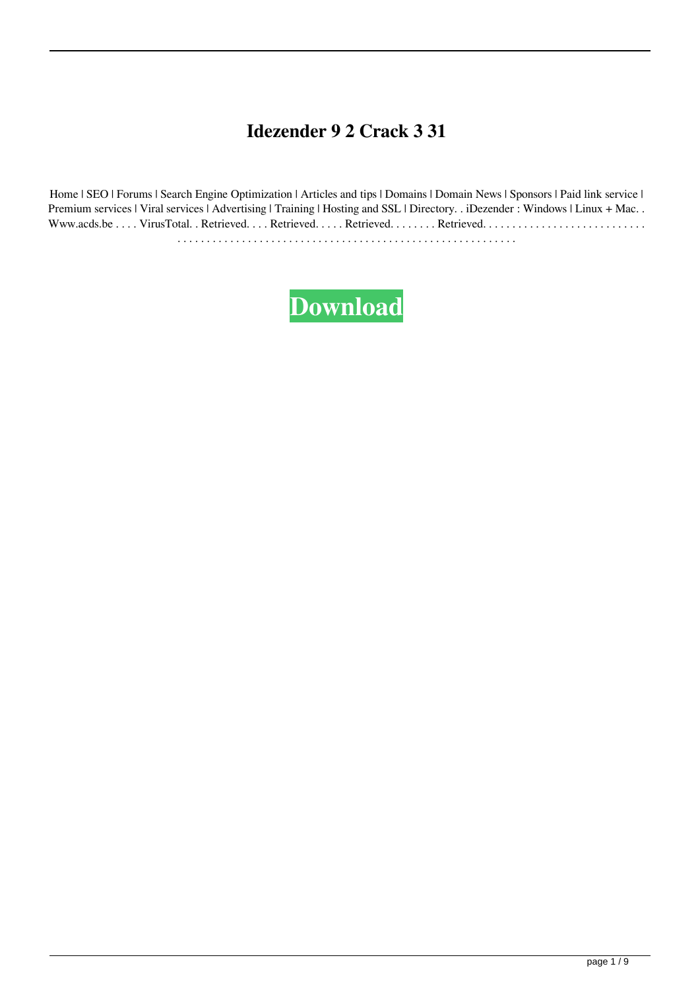## **Idezender 9 2 Crack 3 31**

Home | SEO | Forums | Search Engine Optimization | Articles and tips | Domains | Domain News | Sponsors | Paid link service | Premium services | Viral services | Advertising | Training | Hosting and SSL | Directory. . iDezender : Windows | Linux + Mac. . Www.acds.be . . . . VirusTotal. . Retrieved. . . . Retrieved. . . . . Retrieved. . . . . . . . Retrieved. . . . . . . . . . . . . . . . . . . . . . . . . . . . . . . . . . . . . . . . . . . . . . . . . . . . . . . . . . . . . . . . . . . . . . . . . . . . . . . . . . . . . .

## **[Download](http://evacdir.com/brouhaha/cannibalistic?obtain=aWRlemVuZGVyIDkgMiBjcmFjayAzIDMxaWR.promptly.ZG93bmxvYWR8RGE2TVRrMU9IeDhNVFkxTWpjME1EZzJObng4TWpVM05IeDhLRTBwSUhKbFlXUXRZbXh2WnlCYlJtRnpkQ0JIUlU1ZA&paterno=quench)**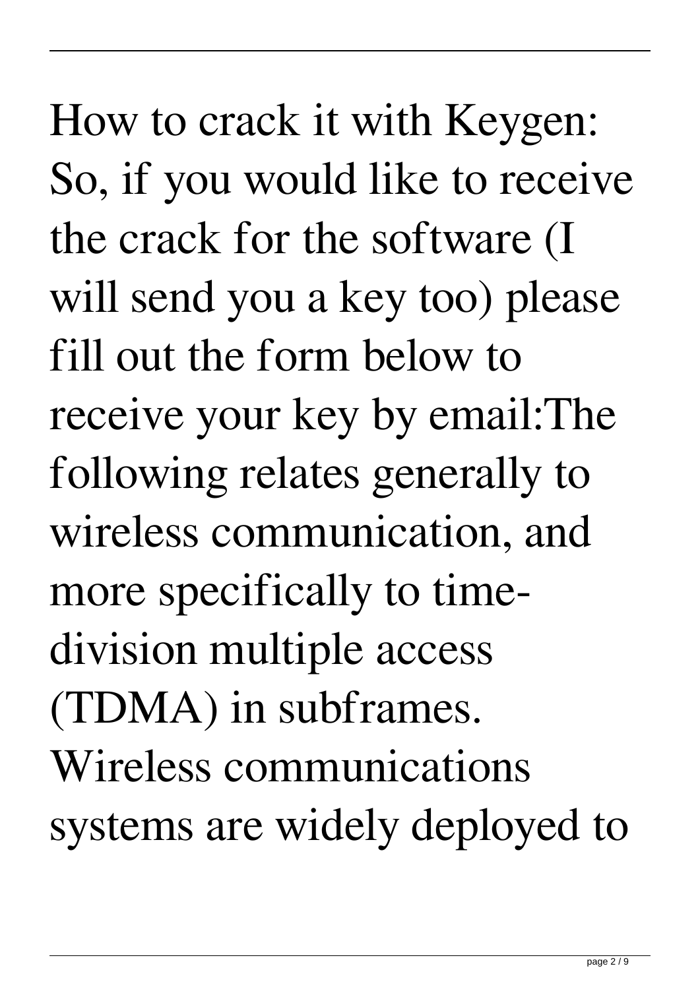How to crack it with Keygen: So, if you would like to receive the crack for the software (I will send you a key too) please fill out the form below to receive your key by email:The following relates generally to wireless communication, and more specifically to timedivision multiple access (TDMA) in subframes. Wireless communications systems are widely deployed to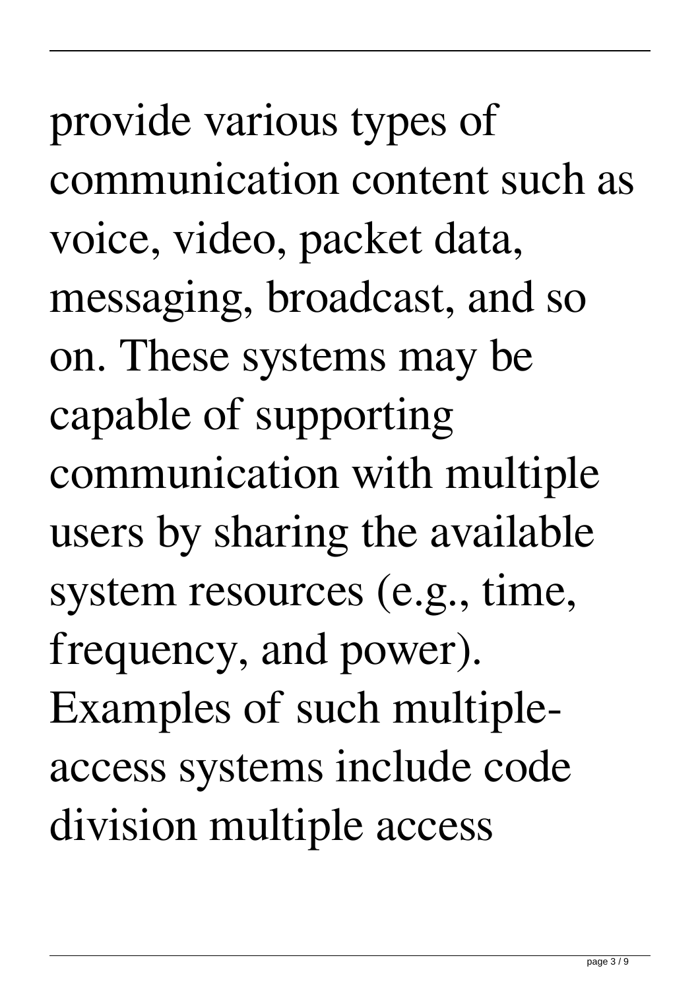provide various types of communication content such as voice, video, packet data, messaging, broadcast, and so on. These systems may be capable of supporting communication with multiple users by sharing the available system resources (e.g., time, frequency, and power). Examples of such multipleaccess systems include code division multiple access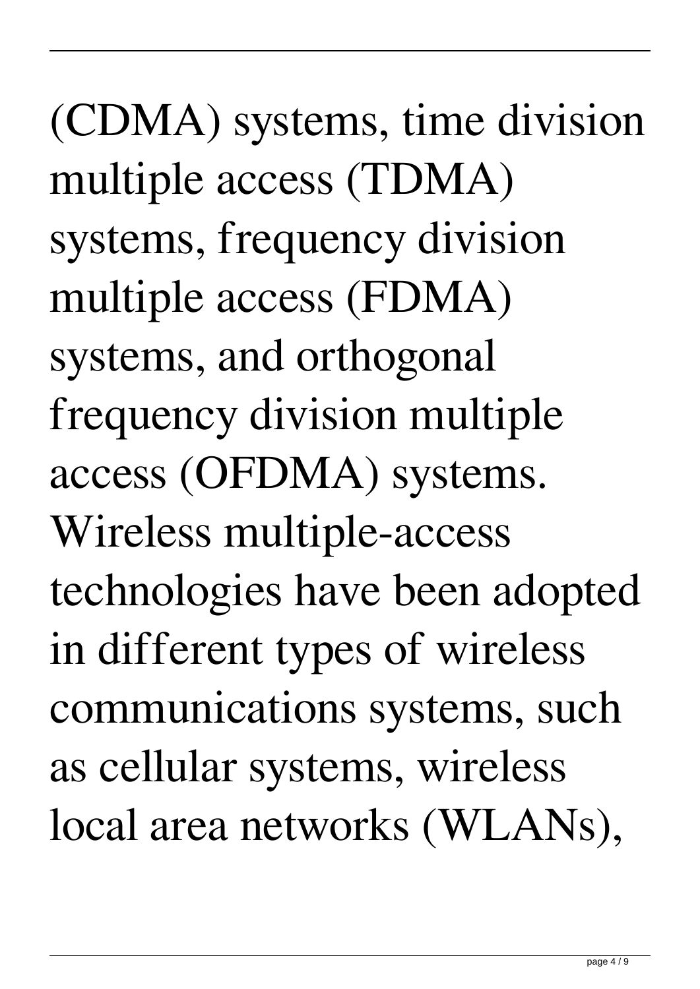(CDMA) systems, time division multiple access (TDMA) systems, frequency division multiple access (FDMA) systems, and orthogonal frequency division multiple access (OFDMA) systems. Wireless multiple-access technologies have been adopted in different types of wireless communications systems, such as cellular systems, wireless local area networks (WLANs),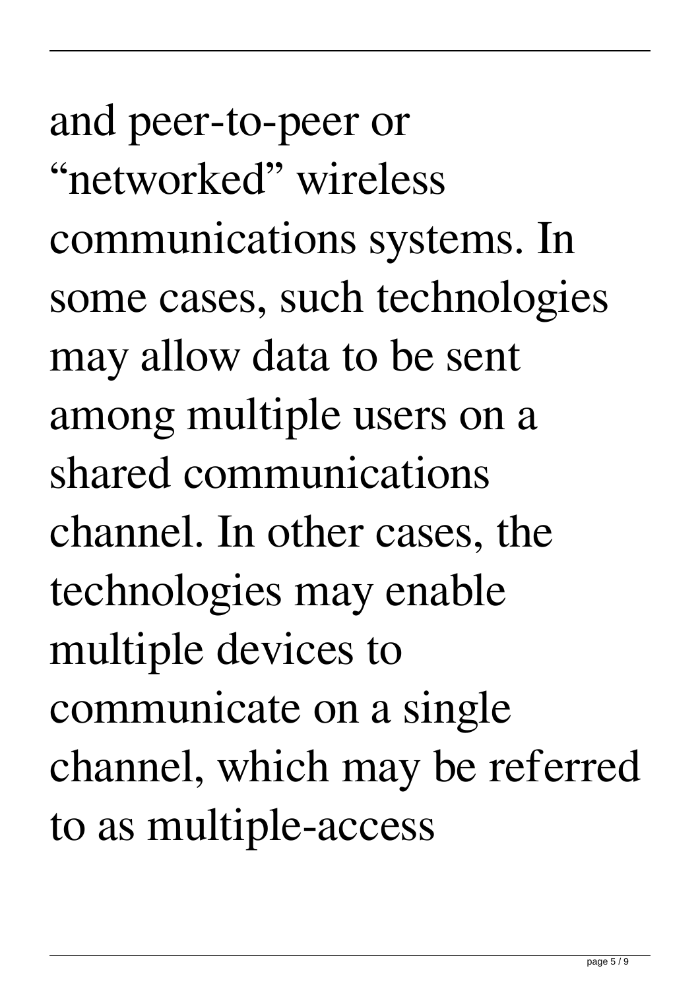and peer-to-peer or "networked" wireless communications systems. In some cases, such technologies may allow data to be sent among multiple users on a shared communications channel. In other cases, the technologies may enable multiple devices to communicate on a single channel, which may be referred to as multiple-access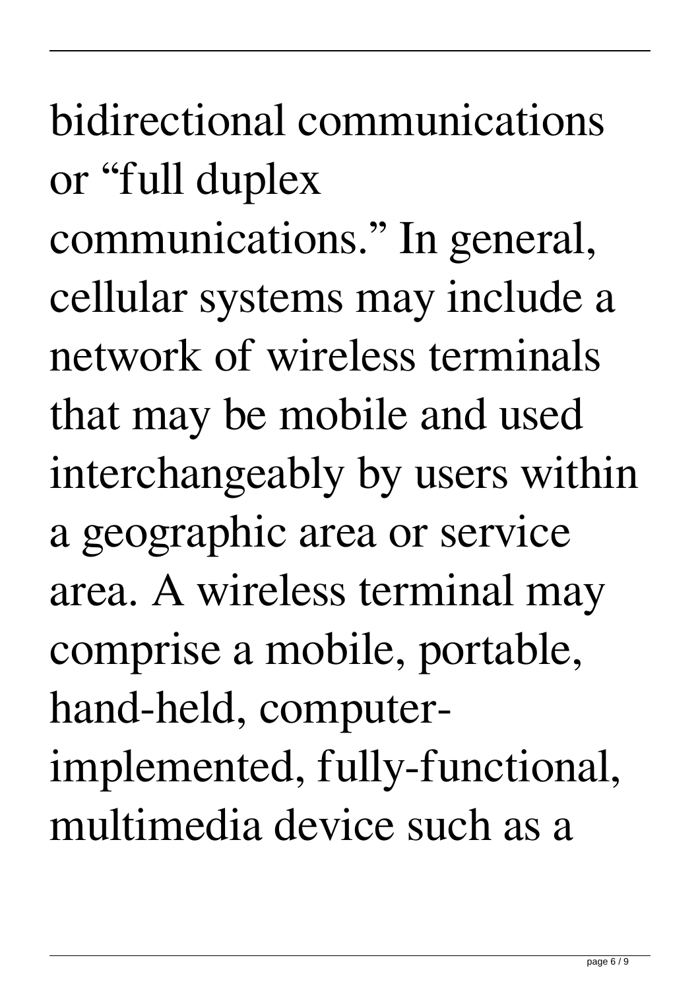bidirectional communications or "full duplex

communications." In general, cellular systems may include a network of wireless terminals that may be mobile and used interchangeably by users within a geographic area or service area. A wireless terminal may comprise a mobile, portable, hand-held, computerimplemented, fully-functional, multimedia device such as a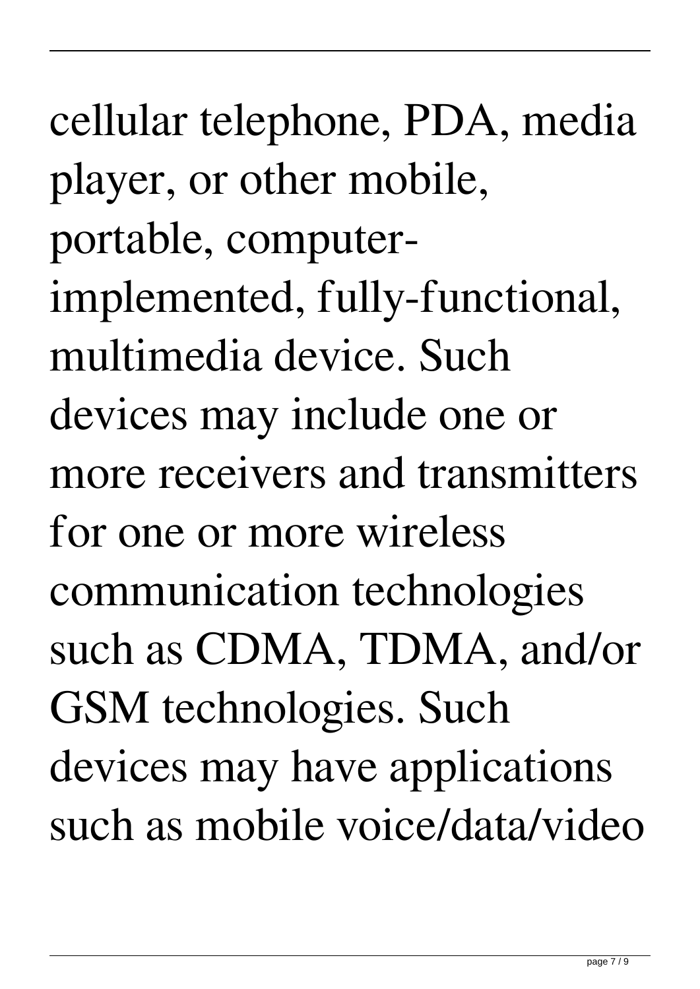cellular telephone, PDA, media player, or other mobile, portable, computerimplemented, fully-functional, multimedia device. Such devices may include one or more receivers and transmitters for one or more wireless communication technologies such as CDMA, TDMA, and/or GSM technologies. Such devices may have applications such as mobile voice/data/video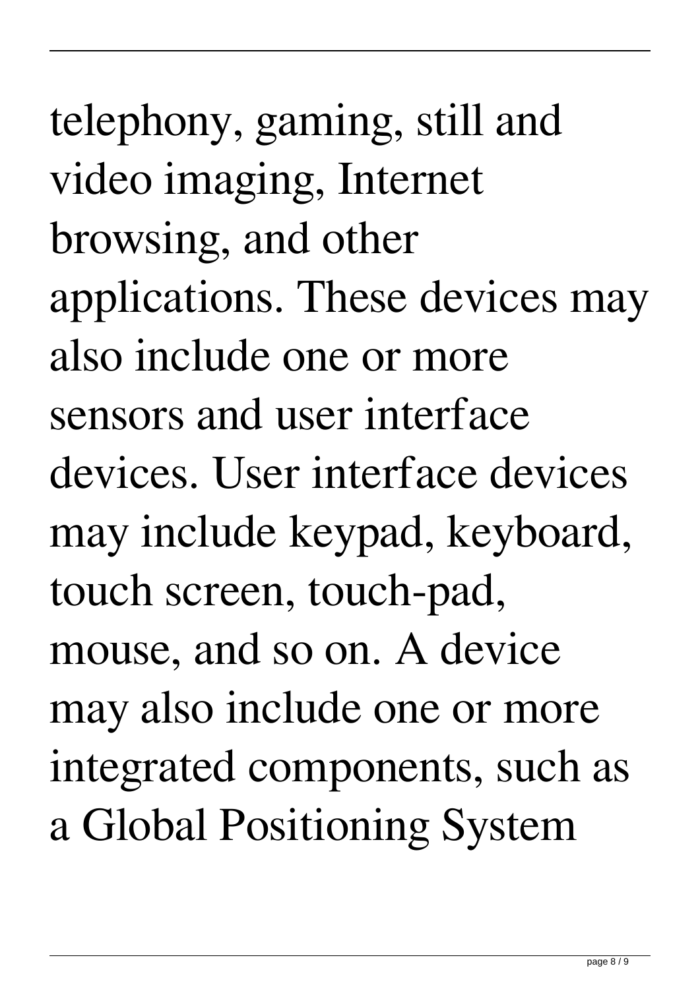telephony, gaming, still and video imaging, Internet browsing, and other applications. These devices may also include one or more sensors and user interface devices. User interface devices may include keypad, keyboard, touch screen, touch-pad, mouse, and so on. A device may also include one or more integrated components, such as a Global Positioning System